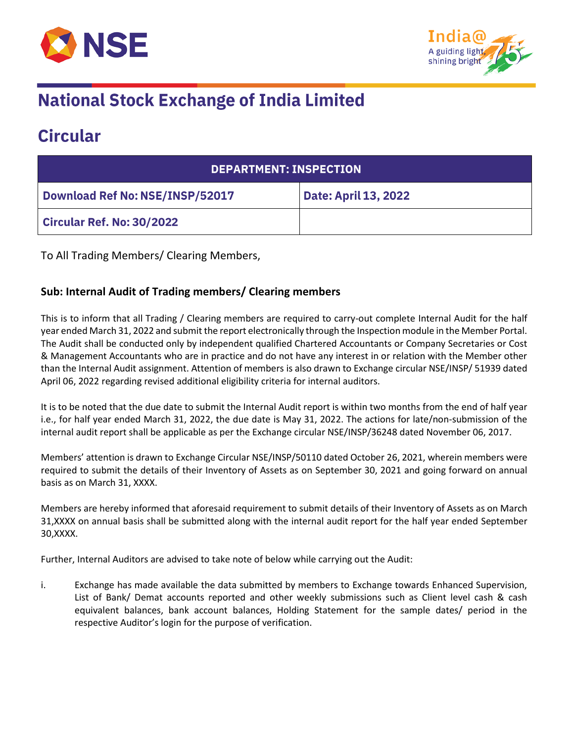



## **National Stock Exchange of India Limited**

### **Circular**

| DEPARTMENT: INSPECTION           |                             |  |
|----------------------------------|-----------------------------|--|
| Download Ref No: NSE/INSP/52017  | <b>Date: April 13, 2022</b> |  |
| <b>Circular Ref. No: 30/2022</b> |                             |  |

To All Trading Members/ Clearing Members,

#### **Sub: Internal Audit of Trading members/ Clearing members**

This is to inform that all Trading / Clearing members are required to carry-out complete Internal Audit for the half year ended March 31, 2022 and submit the report electronically through the Inspection module in the Member Portal. The Audit shall be conducted only by independent qualified Chartered Accountants or Company Secretaries or Cost & Management Accountants who are in practice and do not have any interest in or relation with the Member other than the Internal Audit assignment. Attention of members is also drawn to Exchange circular NSE/INSP/ 51939 dated April 06, 2022 regarding revised additional eligibility criteria for internal auditors.

It is to be noted that the due date to submit the Internal Audit report is within two months from the end of half year i.e., for half year ended March 31, 2022, the due date is May 31, 2022. The actions for late/non-submission of the internal audit report shall be applicable as per the Exchange circular NSE/INSP/36248 dated November 06, 2017.

Members' attention is drawn to Exchange Circular NSE/INSP/50110 dated October 26, 2021, wherein members were required to submit the details of their Inventory of Assets as on September 30, 2021 and going forward on annual basis as on March 31, XXXX.

Members are hereby informed that aforesaid requirement to submit details of their Inventory of Assets as on March 31,XXXX on annual basis shall be submitted along with the internal audit report for the half year ended September 30,XXXX.

Further, Internal Auditors are advised to take note of below while carrying out the Audit:

i. Exchange has made available the data submitted by members to Exchange towards Enhanced Supervision, List of Bank/ Demat accounts reported and other weekly submissions such as Client level cash & cash equivalent balances, bank account balances, Holding Statement for the sample dates/ period in the respective Auditor's login for the purpose of verification.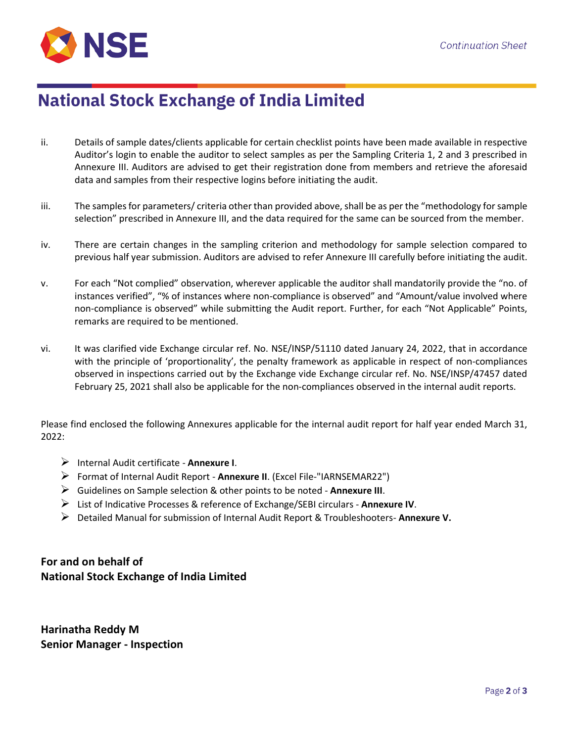

### **National Stock Exchange of India Limited**

- ii. Details of sample dates/clients applicable for certain checklist points have been made available in respective Auditor's login to enable the auditor to select samples as per the Sampling Criteria 1, 2 and 3 prescribed in Annexure III. Auditors are advised to get their registration done from members and retrieve the aforesaid data and samples from their respective logins before initiating the audit.
- iii. The samples for parameters/ criteria other than provided above, shall be as per the "methodology for sample selection" prescribed in Annexure III, and the data required for the same can be sourced from the member.
- iv. There are certain changes in the sampling criterion and methodology for sample selection compared to previous half year submission. Auditors are advised to refer Annexure III carefully before initiating the audit.
- v. For each "Not complied" observation, wherever applicable the auditor shall mandatorily provide the "no. of instances verified", "% of instances where non-compliance is observed" and "Amount/value involved where non-compliance is observed" while submitting the Audit report. Further, for each "Not Applicable" Points, remarks are required to be mentioned.
- vi. It was clarified vide Exchange circular ref. No. NSE/INSP/51110 dated January 24, 2022, that in accordance with the principle of 'proportionality', the penalty framework as applicable in respect of non-compliances observed in inspections carried out by the Exchange vide Exchange circular ref. No. NSE/INSP/47457 dated February 25, 2021 shall also be applicable for the non-compliances observed in the internal audit reports.

Please find enclosed the following Annexures applicable for the internal audit report for half year ended March 31, 2022:

- ➢ Internal Audit certificate **Annexure I**.
- ➢ Format of Internal Audit Report **Annexure II**. (Excel File-"IARNSEMAR22")
- ➢ Guidelines on Sample selection & other points to be noted **Annexure III**.
- ➢ List of Indicative Processes & reference of Exchange/SEBI circulars **Annexure IV**.
- ➢ Detailed Manual for submission of Internal Audit Report & Troubleshooters- **Annexure V.**

**For and on behalf of National Stock Exchange of India Limited**

**Harinatha Reddy M Senior Manager - Inspection**